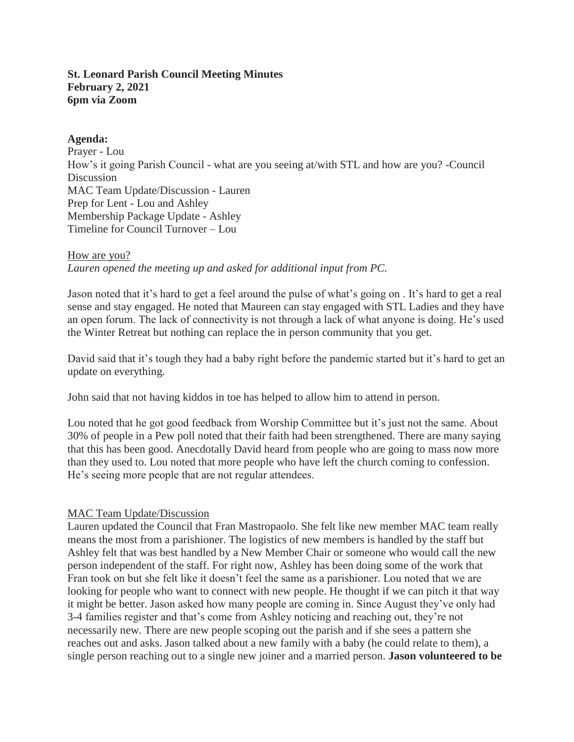## **St. Leonard Parish Council Meeting Minutes February 2, 2021 6pm via Zoom**

## **Agenda:**

Prayer - Lou How's it going Parish Council - what are you seeing at/with STL and how are you? -Council **Discussion** MAC Team Update/Discussion - Lauren Prep for Lent - Lou and Ashley Membership Package Update - Ashley Timeline for Council Turnover – Lou

### How are you?

*Lauren opened the meeting up and asked for additional input from PC.*

Jason noted that it's hard to get a feel around the pulse of what's going on . It's hard to get a real sense and stay engaged. He noted that Maureen can stay engaged with STL Ladies and they have an open forum. The lack of connectivity is not through a lack of what anyone is doing. He's used the Winter Retreat but nothing can replace the in person community that you get.

David said that it's tough they had a baby right before the pandemic started but it's hard to get an update on everything.

John said that not having kiddos in toe has helped to allow him to attend in person.

Lou noted that he got good feedback from Worship Committee but it's just not the same. About 30% of people in a Pew poll noted that their faith had been strengthened. There are many saying that this has been good. Anecdotally David heard from people who are going to mass now more than they used to. Lou noted that more people who have left the church coming to confession. He's seeing more people that are not regular attendees.

# MAC Team Update/Discussion

Lauren updated the Council that Fran Mastropaolo. She felt like new member MAC team really means the most from a parishioner. The logistics of new members is handled by the staff but Ashley felt that was best handled by a New Member Chair or someone who would call the new person independent of the staff. For right now, Ashley has been doing some of the work that Fran took on but she felt like it doesn't feel the same as a parishioner. Lou noted that we are looking for people who want to connect with new people. He thought if we can pitch it that way it might be better. Jason asked how many people are coming in. Since August they've only had 3-4 families register and that's come from Ashley noticing and reaching out, they're not necessarily new. There are new people scoping out the parish and if she sees a pattern she reaches out and asks. Jason talked about a new family with a baby (he could relate to them), a single person reaching out to a single new joiner and a married person. **Jason volunteered to be**